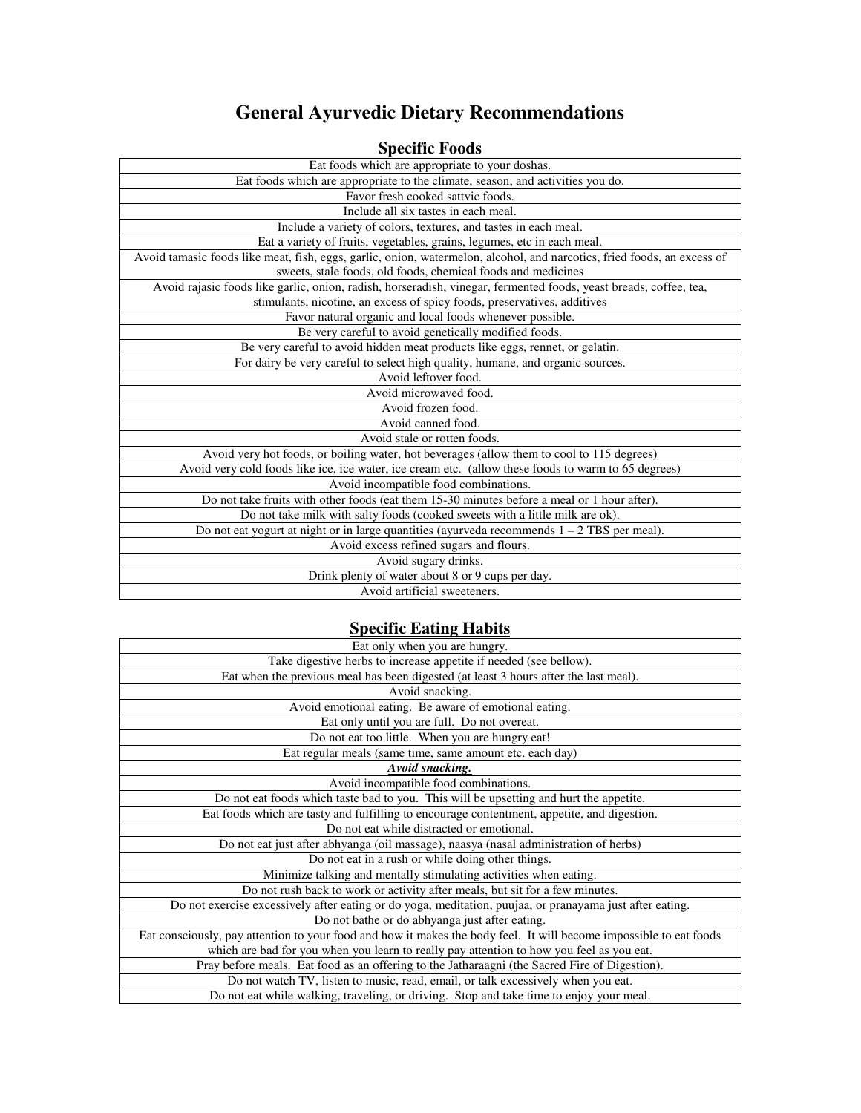## **General Ayurvedic Dietary Recommendations**

## **Specific Foods**

| Eat foods which are appropriate to your doshas.                                                                         |
|-------------------------------------------------------------------------------------------------------------------------|
| Eat foods which are appropriate to the climate, season, and activities you do.                                          |
| Favor fresh cooked sattvic foods.                                                                                       |
| Include all six tastes in each meal.                                                                                    |
| Include a variety of colors, textures, and tastes in each meal.                                                         |
| Eat a variety of fruits, vegetables, grains, legumes, etc in each meal.                                                 |
| Avoid tamasic foods like meat, fish, eggs, garlic, onion, watermelon, alcohol, and narcotics, fried foods, an excess of |
| sweets, stale foods, old foods, chemical foods and medicines                                                            |
| Avoid rajasic foods like garlic, onion, radish, horseradish, vinegar, fermented foods, yeast breads, coffee, tea,       |
| stimulants, nicotine, an excess of spicy foods, preservatives, additives                                                |
| Favor natural organic and local foods whenever possible.                                                                |
| Be very careful to avoid genetically modified foods.                                                                    |
| Be very careful to avoid hidden meat products like eggs, rennet, or gelatin.                                            |
| For dairy be very careful to select high quality, humane, and organic sources.                                          |
| Avoid leftover food.                                                                                                    |
| Avoid microwaved food.                                                                                                  |
| Avoid frozen food.                                                                                                      |
| Avoid canned food.                                                                                                      |
| Avoid stale or rotten foods.                                                                                            |
| Avoid very hot foods, or boiling water, hot beverages (allow them to cool to 115 degrees)                               |
| Avoid very cold foods like ice, ice water, ice cream etc. (allow these foods to warm to 65 degrees)                     |
| Avoid incompatible food combinations.                                                                                   |
| Do not take fruits with other foods (eat them 15-30 minutes before a meal or 1 hour after).                             |
| Do not take milk with salty foods (cooked sweets with a little milk are ok).                                            |
| Do not eat yogurt at night or in large quantities (ayurveda recommends $1 - 2$ TBS per meal).                           |
| Avoid excess refined sugars and flours.                                                                                 |
| Avoid sugary drinks.                                                                                                    |
| Drink plenty of water about 8 or 9 cups per day.                                                                        |
| Avoid artificial sweeteners.                                                                                            |

## **Specific Eating Habits**

| Eat only when you are hungry.                                                                                      |
|--------------------------------------------------------------------------------------------------------------------|
| Take digestive herbs to increase appetite if needed (see bellow).                                                  |
| Eat when the previous meal has been digested (at least 3 hours after the last meal).                               |
| Avoid snacking.                                                                                                    |
| Avoid emotional eating. Be aware of emotional eating.                                                              |
| Eat only until you are full. Do not overeat.                                                                       |
| Do not eat too little. When you are hungry eat!                                                                    |
| Eat regular meals (same time, same amount etc. each day)                                                           |
| <b>Avoid snacking.</b>                                                                                             |
| Avoid incompatible food combinations.                                                                              |
| Do not eat foods which taste bad to you. This will be upsetting and hurt the appetite.                             |
| Eat foods which are tasty and fulfilling to encourage contentment, appetite, and digestion.                        |
| Do not eat while distracted or emotional.                                                                          |
| Do not eat just after abhyanga (oil massage), naasya (nasal administration of herbs)                               |
| Do not eat in a rush or while doing other things.                                                                  |
| Minimize talking and mentally stimulating activities when eating.                                                  |
| Do not rush back to work or activity after meals, but sit for a few minutes.                                       |
| Do not exercise excessively after eating or do yoga, meditation, puujaa, or pranayama just after eating.           |
| Do not bathe or do abhyanga just after eating.                                                                     |
| Eat consciously, pay attention to your food and how it makes the body feel. It will become impossible to eat foods |
| which are bad for you when you learn to really pay attention to how you feel as you eat.                           |
| Pray before meals. Eat food as an offering to the Jatharaagni (the Sacred Fire of Digestion).                      |
| Do not watch TV, listen to music, read, email, or talk excessively when you eat.                                   |
| Do not eat while walking, traveling, or driving. Stop and take time to enjoy your meal.                            |